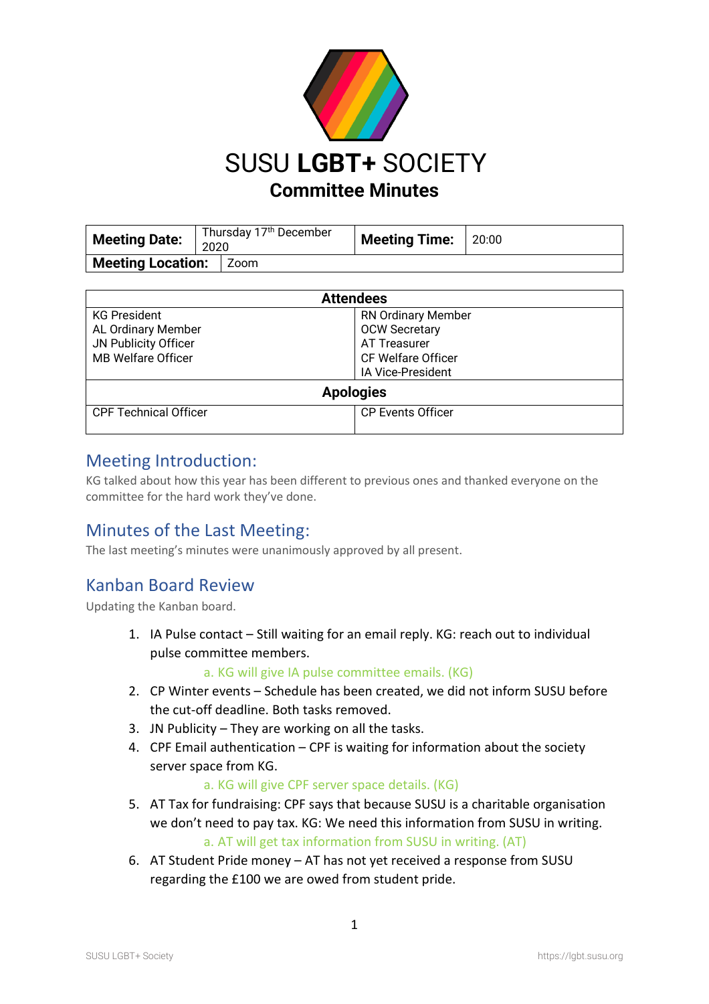

| Meeting Date:                   | Thursday 17 <sup>th</sup> December<br>2020 |  | <b>Meeting Time:</b> | 20:00 |
|---------------------------------|--------------------------------------------|--|----------------------|-------|
| <b>Meeting Location:</b>   Zoom |                                            |  |                      |       |

| <b>Attendees</b>             |                           |  |  |  |
|------------------------------|---------------------------|--|--|--|
| <b>KG President</b>          | <b>RN Ordinary Member</b> |  |  |  |
| AL Ordinary Member           | <b>OCW Secretary</b>      |  |  |  |
| JN Publicity Officer         | AT Treasurer              |  |  |  |
| <b>MB Welfare Officer</b>    | <b>CF Welfare Officer</b> |  |  |  |
|                              | IA Vice-President         |  |  |  |
| <b>Apologies</b>             |                           |  |  |  |
| <b>CPF Technical Officer</b> | <b>CP Events Officer</b>  |  |  |  |
|                              |                           |  |  |  |

#### Meeting Introduction:

KG talked about how this year has been different to previous ones and thanked everyone on the committee for the hard work they've done.

# Minutes of the Last Meeting:

The last meeting's minutes were unanimously approved by all present.

# Kanban Board Review

Updating the Kanban board.

1. IA Pulse contact – Still waiting for an email reply. KG: reach out to individual pulse committee members.

```
a. KG will give IA pulse committee emails. (KG)
```
- 2. CP Winter events Schedule has been created, we did not inform SUSU before the cut-off deadline. Both tasks removed.
- 3. JN Publicity They are working on all the tasks.
- 4. CPF Email authentication CPF is waiting for information about the society server space from KG.

#### a. KG will give CPF server space details. (KG)

- 5. AT Tax for fundraising: CPF says that because SUSU is a charitable organisation we don't need to pay tax. KG: We need this information from SUSU in writing. a. AT will get tax information from SUSU in writing. (AT)
- 6. AT Student Pride money AT has not yet received a response from SUSU regarding the £100 we are owed from student pride.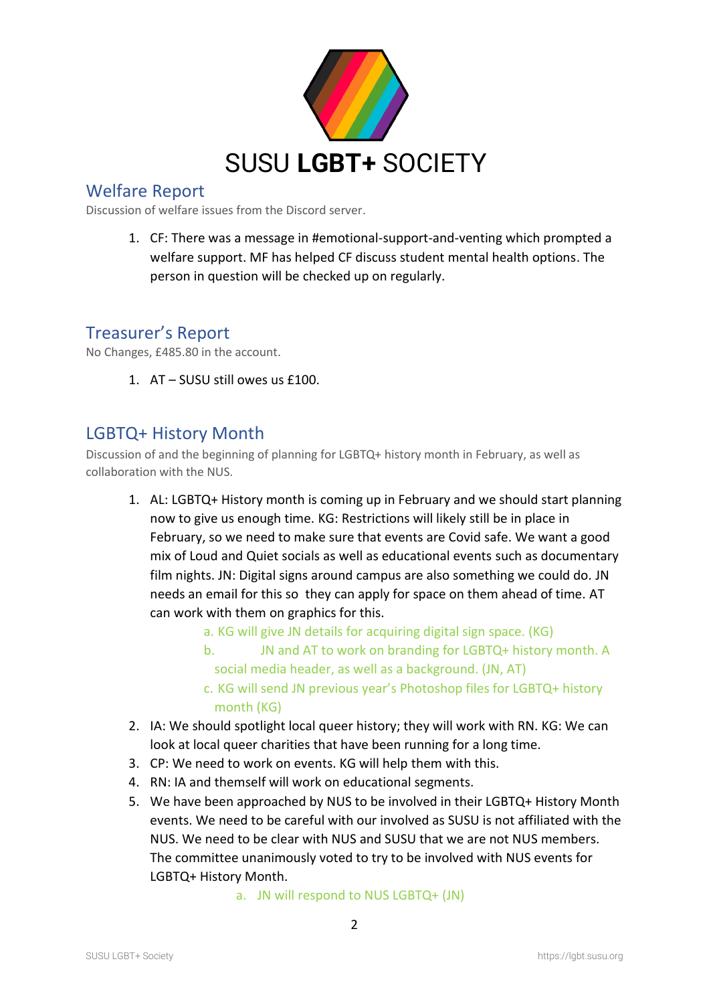

# Welfare Report

Discussion of welfare issues from the Discord server.

1. CF: There was a message in #emotional-support-and-venting which prompted a welfare support. MF has helped CF discuss student mental health options. The person in question will be checked up on regularly.

### Treasurer's Report

No Changes, £485.80 in the account.

1. AT – SUSU still owes us £100.

### LGBTQ+ History Month

Discussion of and the beginning of planning for LGBTQ+ history month in February, as well as collaboration with the NUS.

- 1. AL: LGBTQ+ History month is coming up in February and we should start planning now to give us enough time. KG: Restrictions will likely still be in place in February, so we need to make sure that events are Covid safe. We want a good mix of Loud and Quiet socials as well as educational events such as documentary film nights. JN: Digital signs around campus are also something we could do. JN needs an email for this so they can apply for space on them ahead of time. AT can work with them on graphics for this.
	- a. KG will give JN details for acquiring digital sign space. (KG)
	- b. JN and AT to work on branding for LGBTQ+ history month. A social media header, as well as a background. (JN, AT)
	- c. KG will send JN previous year's Photoshop files for LGBTQ+ history month (KG)
- 2. IA: We should spotlight local queer history; they will work with RN. KG: We can look at local queer charities that have been running for a long time.
- 3. CP: We need to work on events. KG will help them with this.
- 4. RN: IA and themself will work on educational segments.
- 5. We have been approached by NUS to be involved in their LGBTQ+ History Month events. We need to be careful with our involved as SUSU is not affiliated with the NUS. We need to be clear with NUS and SUSU that we are not NUS members. The committee unanimously voted to try to be involved with NUS events for LGBTQ+ History Month.

a. JN will respond to NUS LGBTQ+ (JN)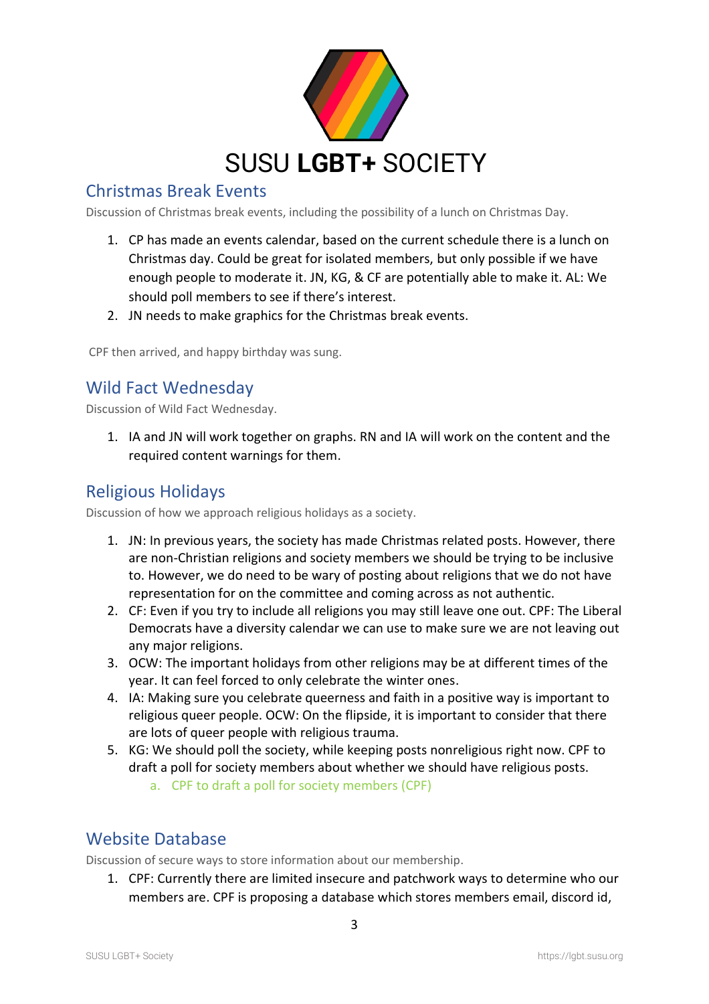

# Christmas Break Events

Discussion of Christmas break events, including the possibility of a lunch on Christmas Day.

- 1. CP has made an events calendar, based on the current schedule there is a lunch on Christmas day. Could be great for isolated members, but only possible if we have enough people to moderate it. JN, KG, & CF are potentially able to make it. AL: We should poll members to see if there's interest.
- 2. JN needs to make graphics for the Christmas break events.

CPF then arrived, and happy birthday was sung.

# Wild Fact Wednesday

Discussion of Wild Fact Wednesday.

1. IA and JN will work together on graphs. RN and IA will work on the content and the required content warnings for them.

# Religious Holidays

Discussion of how we approach religious holidays as a society.

- 1. JN: In previous years, the society has made Christmas related posts. However, there are non-Christian religions and society members we should be trying to be inclusive to. However, we do need to be wary of posting about religions that we do not have representation for on the committee and coming across as not authentic.
- 2. CF: Even if you try to include all religions you may still leave one out. CPF: The Liberal Democrats have a diversity calendar we can use to make sure we are not leaving out any major religions.
- 3. OCW: The important holidays from other religions may be at different times of the year. It can feel forced to only celebrate the winter ones.
- 4. IA: Making sure you celebrate queerness and faith in a positive way is important to religious queer people. OCW: On the flipside, it is important to consider that there are lots of queer people with religious trauma.
- 5. KG: We should poll the society, while keeping posts nonreligious right now. CPF to draft a poll for society members about whether we should have religious posts.
	- a. CPF to draft a poll for society members (CPF)

#### Website Database

Discussion of secure ways to store information about our membership.

1. CPF: Currently there are limited insecure and patchwork ways to determine who our members are. CPF is proposing a database which stores members email, discord id,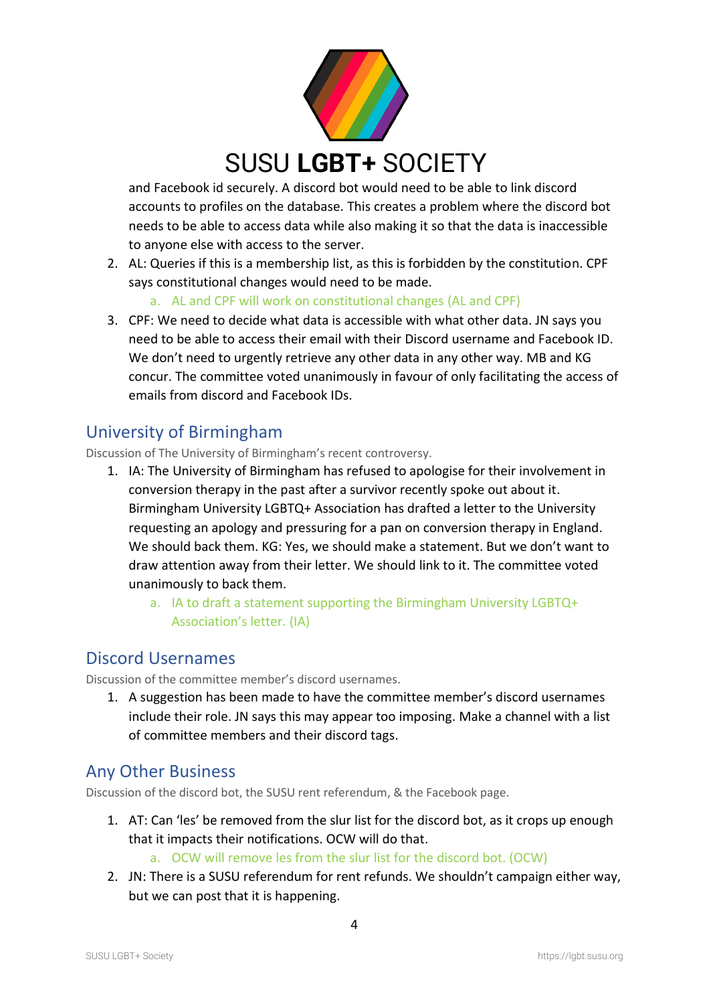

and Facebook id securely. A discord bot would need to be able to link discord accounts to profiles on the database. This creates a problem where the discord bot needs to be able to access data while also making it so that the data is inaccessible to anyone else with access to the server.

2. AL: Queries if this is a membership list, as this is forbidden by the constitution. CPF says constitutional changes would need to be made.

a. AL and CPF will work on constitutional changes (AL and CPF)

3. CPF: We need to decide what data is accessible with what other data. JN says you need to be able to access their email with their Discord username and Facebook ID. We don't need to urgently retrieve any other data in any other way. MB and KG concur. The committee voted unanimously in favour of only facilitating the access of emails from discord and Facebook IDs.

# University of Birmingham

Discussion of The University of Birmingham's recent controversy.

- 1. IA: The University of Birmingham has refused to apologise for their involvement in conversion therapy in the past after a survivor recently spoke out about it. Birmingham University LGBTQ+ Association has drafted a letter to the University requesting an apology and pressuring for a pan on conversion therapy in England. We should back them. KG: Yes, we should make a statement. But we don't want to draw attention away from their letter. We should link to it. The committee voted unanimously to back them.
	- a. IA to draft a statement supporting the Birmingham University LGBTQ+ Association's letter. (IA)

# Discord Usernames

Discussion of the committee member's discord usernames.

1. A suggestion has been made to have the committee member's discord usernames include their role. JN says this may appear too imposing. Make a channel with a list of committee members and their discord tags.

# Any Other Business

Discussion of the discord bot, the SUSU rent referendum, & the Facebook page.

- 1. AT: Can 'les' be removed from the slur list for the discord bot, as it crops up enough that it impacts their notifications. OCW will do that.
	- a. OCW will remove les from the slur list for the discord bot. (OCW)
- 2. JN: There is a SUSU referendum for rent refunds. We shouldn't campaign either way, but we can post that it is happening.